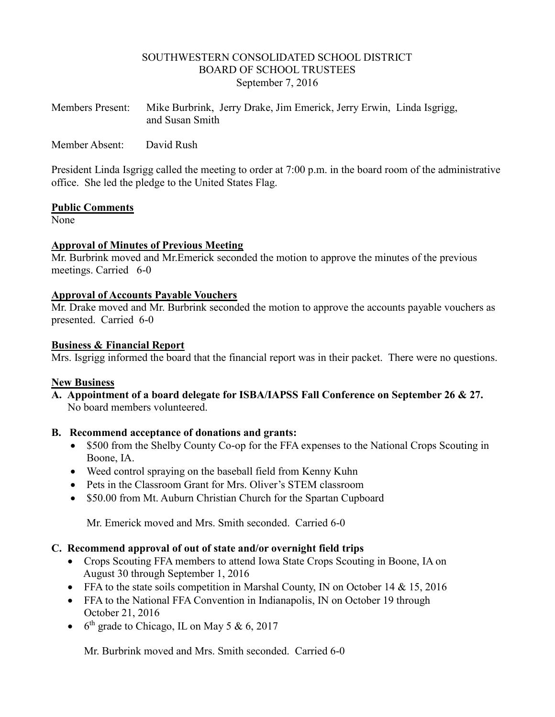## SOUTHWESTERN CONSOLIDATED SCHOOL DISTRICT BOARD OF SCHOOL TRUSTEES September 7, 2016

| <b>Members Present:</b> | Mike Burbrink, Jerry Drake, Jim Emerick, Jerry Erwin, Linda Isgrigg, |  |  |
|-------------------------|----------------------------------------------------------------------|--|--|
|                         | and Susan Smith                                                      |  |  |

Member Absent: David Rush

President Linda Isgrigg called the meeting to order at 7:00 p.m. in the board room of the administrative office. She led the pledge to the United States Flag.

#### **Public Comments**

None<sup>1</sup>

### **Approval of Minutes of Previous Meeting**

Mr. Burbrink moved and Mr.Emerick seconded the motion to approve the minutes of the previous meetings. Carried 6-0

### **Approval of Accounts Payable Vouchers**

Mr. Drake moved and Mr. Burbrink seconded the motion to approve the accounts payable vouchers as presented. Carried 6-0

### **Business & Financial Report**

Mrs. Isgrigg informed the board that the financial report was in their packet. There were no questions.

### **New Business**

**A. Appointment of a board delegate for ISBA/IAPSS Fall Conference on September 26 & 27.** No board members volunteered.

### **B. Recommend acceptance of donations and grants:**

- \$500 from the Shelby County Co-op for the FFA expenses to the National Crops Scouting in Boone, IA.
- Weed control spraying on the baseball field from Kenny Kuhn
- Pets in the Classroom Grant for Mrs. Oliver's STEM classroom
- \$50.00 from Mt. Auburn Christian Church for the Spartan Cupboard

Mr. Emerick moved and Mrs. Smith seconded. Carried 6-0

### **C. Recommend approval of out of state and/or overnight field trips**

- Crops Scouting FFA members to attend Iowa State Crops Scouting in Boone, IA on August 30 through September 1, 2016
- FFA to the state soils competition in Marshal County, IN on October 14 & 15, 2016
- FFA to the National FFA Convention in Indianapolis, IN on October 19 through October 21, 2016
- $\bullet$  6<sup>th</sup> grade to Chicago, IL on May 5 & 6, 2017

Mr. Burbrink moved and Mrs. Smith seconded. Carried 6-0.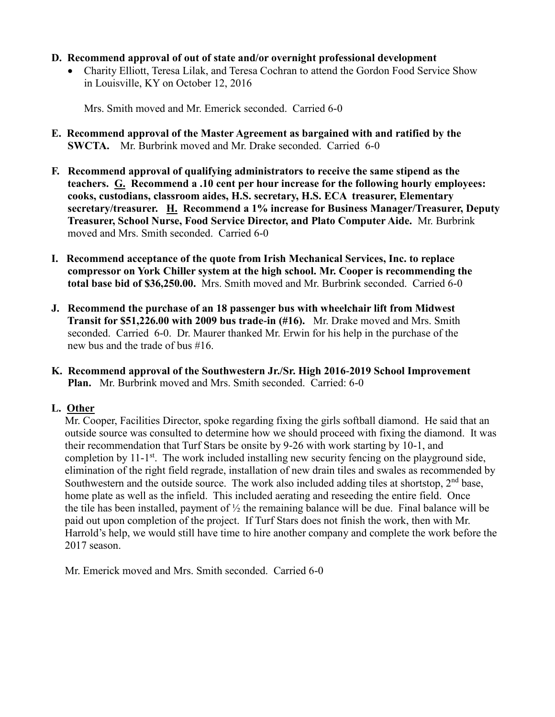## **D. Recommend approval of out of state and/or overnight professional development**

 Charity Elliott, Teresa Lilak, and Teresa Cochran to attend the Gordon Food Service Show in Louisville, KY on October 12, 2016

Mrs. Smith moved and Mr. Emerick seconded. Carried 6-0

- **E. Recommend approval of the Master Agreement as bargained with and ratified by the SWCTA.** Mr. Burbrink moved and Mr. Drake seconded. Carried 6-0
- **F. Recommend approval of qualifying administrators to receive the same stipend as the teachers. G. Recommend a .10 cent per hour increase for the following hourly employees: cooks, custodians, classroom aides, H.S. secretary, H.S. ECA treasurer, Elementary secretary/treasurer. H. Recommend a 1% increase for Business Manager/Treasurer, Deputy Treasurer, School Nurse, Food Service Director, and Plato Computer Aide.** Mr. Burbrink moved and Mrs. Smith seconded. Carried 6-0
- **I. Recommend acceptance of the quote from Irish Mechanical Services, Inc. to replace compressor on York Chiller system at the high school. Mr. Cooper is recommending the total base bid of \$36,250.00.** Mrs. Smith moved and Mr. Burbrink seconded. Carried 6-0
- **J. Recommend the purchase of an 18 passenger bus with wheelchair lift from Midwest Transit for \$51,226.00 with 2009 bus trade-in (#16).** Mr. Drake moved and Mrs. Smith seconded. Carried 6-0. Dr. Maurer thanked Mr. Erwin for his help in the purchase of the new bus and the trade of bus #16.
- **K. Recommend approval of the Southwestern Jr./Sr. High 2016-2019 School Improvement Plan.** Mr. Burbrink moved and Mrs. Smith seconded. Carried: 6-0

## **L. Other**

Mr. Cooper, Facilities Director, spoke regarding fixing the girls softball diamond. He said that an outside source was consulted to determine how we should proceed with fixing the diamond. It was their recommendation that Turf Stars be onsite by 9-26 with work starting by 10-1, and completion by 11-1<sup>st</sup>. The work included installing new security fencing on the playground side, elimination of the right field regrade, installation of new drain tiles and swales as recommended by Southwestern and the outside source. The work also included adding tiles at shortstop,  $2<sup>nd</sup>$  base, home plate as well as the infield. This included aerating and reseeding the entire field. Once the tile has been installed, payment of  $\frac{1}{2}$  the remaining balance will be due. Final balance will be paid out upon completion of the project. If Turf Stars does not finish the work, then with Mr. Harrold's help, we would still have time to hire another company and complete the work before the 2017 season.

Mr. Emerick moved and Mrs. Smith seconded. Carried 6-0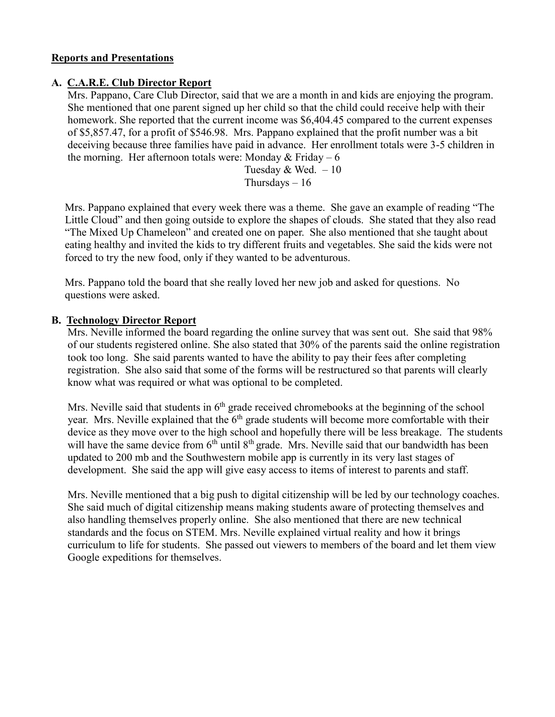## **Reports and Presentations**

## **A. C.A.R.E. Club Director Report**

 Mrs. Pappano, Care Club Director, said that we are a month in and kids are enjoying the program. She mentioned that one parent signed up her child so that the child could receive help with their homework. She reported that the current income was \$6,404.45 compared to the current expenses of \$5,857.47, for a profit of \$546.98. Mrs. Pappano explained that the profit number was a bit deceiving because three families have paid in advance. Her enrollment totals were 3-5 children in the morning. Her afternoon totals were: Monday  $&$  Friday – 6

> Tuesday  $&$  Wed.  $-10$ Thursdays  $-16$

 Mrs. Pappano explained that every week there was a theme. She gave an example of reading "The Little Cloud" and then going outside to explore the shapes of clouds. She stated that they also read "The Mixed Up Chameleon" and created one on paper. She also mentioned that she taught about eating healthy and invited the kids to try different fruits and vegetables. She said the kids were not forced to try the new food, only if they wanted to be adventurous.

 Mrs. Pappano told the board that she really loved her new job and asked for questions. No questions were asked.

## **B. Technology Director Report**

 Mrs. Neville informed the board regarding the online survey that was sent out. She said that 98% of our students registered online. She also stated that 30% of the parents said the online registration took too long. She said parents wanted to have the ability to pay their fees after completing registration. She also said that some of the forms will be restructured so that parents will clearly know what was required or what was optional to be completed.

Mrs. Neville said that students in  $6<sup>th</sup>$  grade received chromebooks at the beginning of the school year. Mrs. Neville explained that the 6<sup>th</sup> grade students will become more comfortable with their device as they move over to the high school and hopefully there will be less breakage. The students will have the same device from 6<sup>th</sup> until 8<sup>th</sup> grade. Mrs. Neville said that our bandwidth has been updated to 200 mb and the Southwestern mobile app is currently in its very last stages of development. She said the app will give easy access to items of interest to parents and staff.

 Mrs. Neville mentioned that a big push to digital citizenship will be led by our technology coaches. She said much of digital citizenship means making students aware of protecting themselves and also handling themselves properly online. She also mentioned that there are new technical standards and the focus on STEM. Mrs. Neville explained virtual reality and how it brings curriculum to life for students. She passed out viewers to members of the board and let them view Google expeditions for themselves.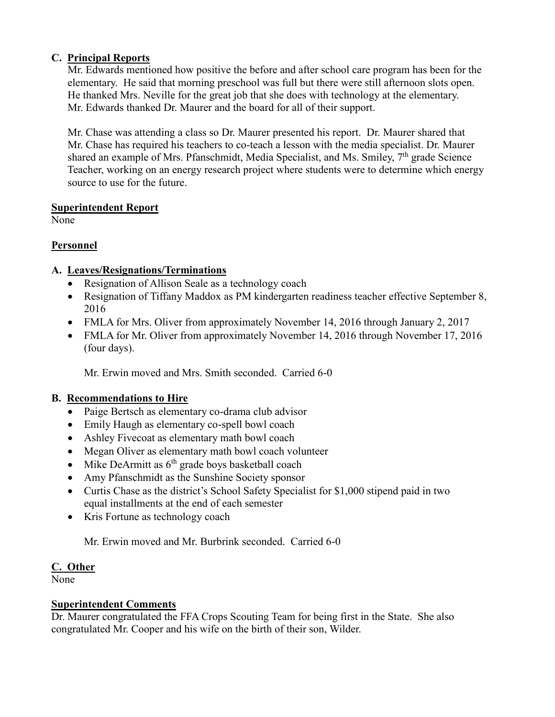## **C. Principal Reports**

 Mr. Edwards mentioned how positive the before and after school care program has been for the elementary. He said that morning preschool was full but there were still afternoon slots open. He thanked Mrs. Neville for the great job that she does with technology at the elementary. Mr. Edwards thanked Dr. Maurer and the board for all of their support.

 Mr. Chase was attending a class so Dr. Maurer presented his report. Dr. Maurer shared that Mr. Chase has required his teachers to co-teach a lesson with the media specialist. Dr. Maurer shared an example of Mrs. Pfanschmidt, Media Specialist, and Ms. Smiley,  $7<sup>th</sup>$  grade Science Teacher, working on an energy research project where students were to determine which energy source to use for the future.

## **Superintendent Report**

None

## **Personnel**

## **A. Leaves/Resignations/Terminations**

- Resignation of Allison Seale as a technology coach
- Resignation of Tiffany Maddox as PM kindergarten readiness teacher effective September 8, 2016
- FMLA for Mrs. Oliver from approximately November 14, 2016 through January 2, 2017
- FMLA for Mr. Oliver from approximately November 14, 2016 through November 17, 2016 (four days).

Mr. Erwin moved and Mrs. Smith seconded. Carried 6-0

# **B. Recommendations to Hire**

- Paige Bertsch as elementary co-drama club advisor
- Emily Haugh as elementary co-spell bowl coach
- Ashley Fivecoat as elementary math bowl coach
- Megan Oliver as elementary math bowl coach volunteer
- $\bullet$  Mike DeArmitt as  $6<sup>th</sup>$  grade boys basketball coach
- Amy Pfanschmidt as the Sunshine Society sponsor
- Curtis Chase as the district's School Safety Specialist for \$1,000 stipend paid in two equal installments at the end of each semester
- Kris Fortune as technology coach

Mr. Erwin moved and Mr. Burbrink seconded. Carried 6-0

## **C. Other**

None

# **Superintendent Comments**

Dr. Maurer congratulated the FFA Crops Scouting Team for being first in the State. She also congratulated Mr. Cooper and his wife on the birth of their son, Wilder.